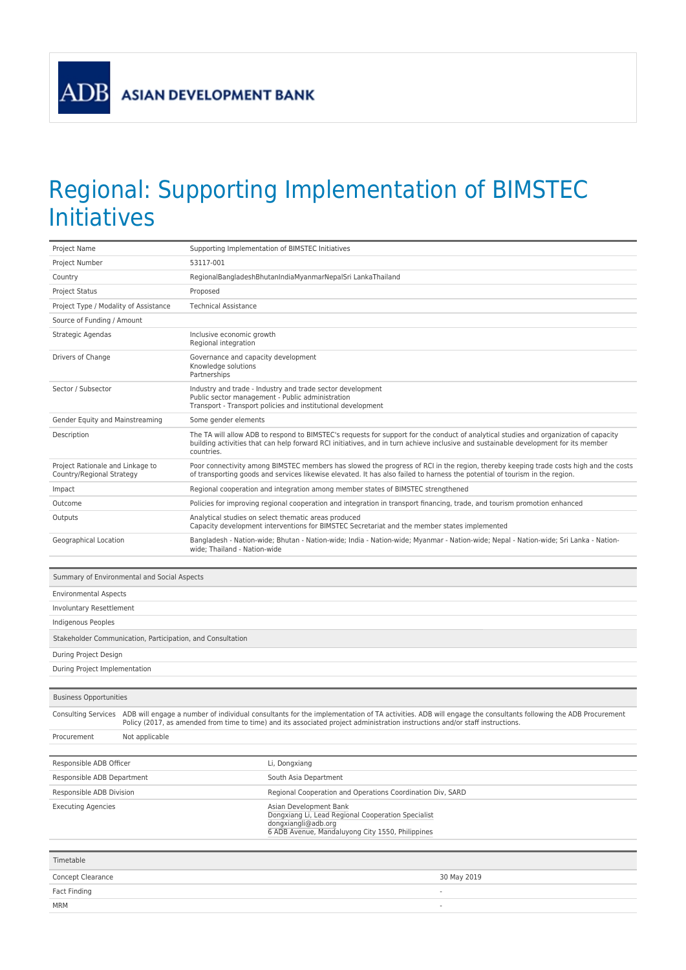**ADB** 

## Regional: Supporting Implementation of BIMSTEC Initiatives

| Project Name                                                  |                                                                                                                                                                                                                                                                                            | Supporting Implementation of BIMSTEC Initiatives                                                                                                                                                                                                                                           |  |  |
|---------------------------------------------------------------|--------------------------------------------------------------------------------------------------------------------------------------------------------------------------------------------------------------------------------------------------------------------------------------------|--------------------------------------------------------------------------------------------------------------------------------------------------------------------------------------------------------------------------------------------------------------------------------------------|--|--|
| Project Number                                                |                                                                                                                                                                                                                                                                                            | 53117-001                                                                                                                                                                                                                                                                                  |  |  |
| Country                                                       |                                                                                                                                                                                                                                                                                            | RegionalBangladeshBhutanIndiaMyanmarNepalSri LankaThailand                                                                                                                                                                                                                                 |  |  |
| <b>Project Status</b>                                         |                                                                                                                                                                                                                                                                                            | Proposed                                                                                                                                                                                                                                                                                   |  |  |
| Project Type / Modality of Assistance                         |                                                                                                                                                                                                                                                                                            | <b>Technical Assistance</b>                                                                                                                                                                                                                                                                |  |  |
| Source of Funding / Amount                                    |                                                                                                                                                                                                                                                                                            |                                                                                                                                                                                                                                                                                            |  |  |
| Strategic Agendas                                             |                                                                                                                                                                                                                                                                                            | Inclusive economic growth<br>Regional integration                                                                                                                                                                                                                                          |  |  |
| Drivers of Change                                             |                                                                                                                                                                                                                                                                                            | Governance and capacity development<br>Knowledge solutions<br>Partnerships                                                                                                                                                                                                                 |  |  |
| Sector / Subsector                                            |                                                                                                                                                                                                                                                                                            | Industry and trade - Industry and trade sector development<br>Public sector management - Public administration<br>Transport - Transport policies and institutional development                                                                                                             |  |  |
| Gender Equity and Mainstreaming                               |                                                                                                                                                                                                                                                                                            | Some gender elements                                                                                                                                                                                                                                                                       |  |  |
| Description                                                   |                                                                                                                                                                                                                                                                                            | The TA will allow ADB to respond to BIMSTEC's requests for support for the conduct of analytical studies and organization of capacity<br>building activities that can help forward RCI initiatives, and in turn achieve inclusive and sustainable development for its member<br>countries. |  |  |
| Project Rationale and Linkage to<br>Country/Regional Strategy |                                                                                                                                                                                                                                                                                            | Poor connectivity among BIMSTEC members has slowed the progress of RCI in the region, thereby keeping trade costs high and the costs<br>of transporting goods and services likewise elevated. It has also failed to harness the potential of tourism in the region.                        |  |  |
| Impact                                                        |                                                                                                                                                                                                                                                                                            | Regional cooperation and integration among member states of BIMSTEC strengthened                                                                                                                                                                                                           |  |  |
| Outcome                                                       |                                                                                                                                                                                                                                                                                            | Policies for improving regional cooperation and integration in transport financing, trade, and tourism promotion enhanced                                                                                                                                                                  |  |  |
| Outputs                                                       |                                                                                                                                                                                                                                                                                            | Analytical studies on select thematic areas produced<br>Capacity development interventions for BIMSTEC Secretariat and the member states implemented                                                                                                                                       |  |  |
| Geographical Location                                         |                                                                                                                                                                                                                                                                                            | Bangladesh - Nation-wide; Bhutan - Nation-wide; India - Nation-wide; Myanmar - Nation-wide; Nepal - Nation-wide; Sri Lanka - Nation-<br>wide; Thailand - Nation-wide                                                                                                                       |  |  |
| Summary of Environmental and Social Aspects                   |                                                                                                                                                                                                                                                                                            |                                                                                                                                                                                                                                                                                            |  |  |
| <b>Environmental Aspects</b>                                  |                                                                                                                                                                                                                                                                                            |                                                                                                                                                                                                                                                                                            |  |  |
| <b>Involuntary Resettlement</b>                               |                                                                                                                                                                                                                                                                                            |                                                                                                                                                                                                                                                                                            |  |  |
| Indigenous Peoples                                            |                                                                                                                                                                                                                                                                                            |                                                                                                                                                                                                                                                                                            |  |  |
| Stakeholder Communication, Participation, and Consultation    |                                                                                                                                                                                                                                                                                            |                                                                                                                                                                                                                                                                                            |  |  |
| During Project Design                                         |                                                                                                                                                                                                                                                                                            |                                                                                                                                                                                                                                                                                            |  |  |
| During Project Implementation                                 |                                                                                                                                                                                                                                                                                            |                                                                                                                                                                                                                                                                                            |  |  |
|                                                               |                                                                                                                                                                                                                                                                                            |                                                                                                                                                                                                                                                                                            |  |  |
| <b>Business Opportunities</b>                                 |                                                                                                                                                                                                                                                                                            |                                                                                                                                                                                                                                                                                            |  |  |
| <b>Consulting Services</b>                                    | ADB will engage a number of individual consultants for the implementation of TA activities. ADB will engage the consultants following the ADB Procurement<br>Policy (2017, as amended from time to time) and its associated project administration instructions and/or staff instructions. |                                                                                                                                                                                                                                                                                            |  |  |
| Procurement                                                   | Not applicable                                                                                                                                                                                                                                                                             |                                                                                                                                                                                                                                                                                            |  |  |
|                                                               |                                                                                                                                                                                                                                                                                            |                                                                                                                                                                                                                                                                                            |  |  |
| Responsible ADB Officer                                       |                                                                                                                                                                                                                                                                                            | Li, Dongxiang                                                                                                                                                                                                                                                                              |  |  |
| Responsible ADB Department                                    |                                                                                                                                                                                                                                                                                            | South Asia Department                                                                                                                                                                                                                                                                      |  |  |
| Responsible ADB Division                                      |                                                                                                                                                                                                                                                                                            | Regional Cooperation and Operations Coordination Div, SARD                                                                                                                                                                                                                                 |  |  |
| <b>Executing Agencies</b>                                     |                                                                                                                                                                                                                                                                                            | Asian Development Bank<br>Dongxiang Li, Lead Regional Cooperation Specialist<br>dongxiangli@adb.org<br>6 ADB Avenue, Mandaluyong City 1550, Philippines                                                                                                                                    |  |  |
| Timetable                                                     |                                                                                                                                                                                                                                                                                            |                                                                                                                                                                                                                                                                                            |  |  |
| Concept Clearance                                             |                                                                                                                                                                                                                                                                                            | 30 May 2019                                                                                                                                                                                                                                                                                |  |  |
| Fact Finding                                                  |                                                                                                                                                                                                                                                                                            |                                                                                                                                                                                                                                                                                            |  |  |
| MRM                                                           |                                                                                                                                                                                                                                                                                            |                                                                                                                                                                                                                                                                                            |  |  |
|                                                               |                                                                                                                                                                                                                                                                                            |                                                                                                                                                                                                                                                                                            |  |  |